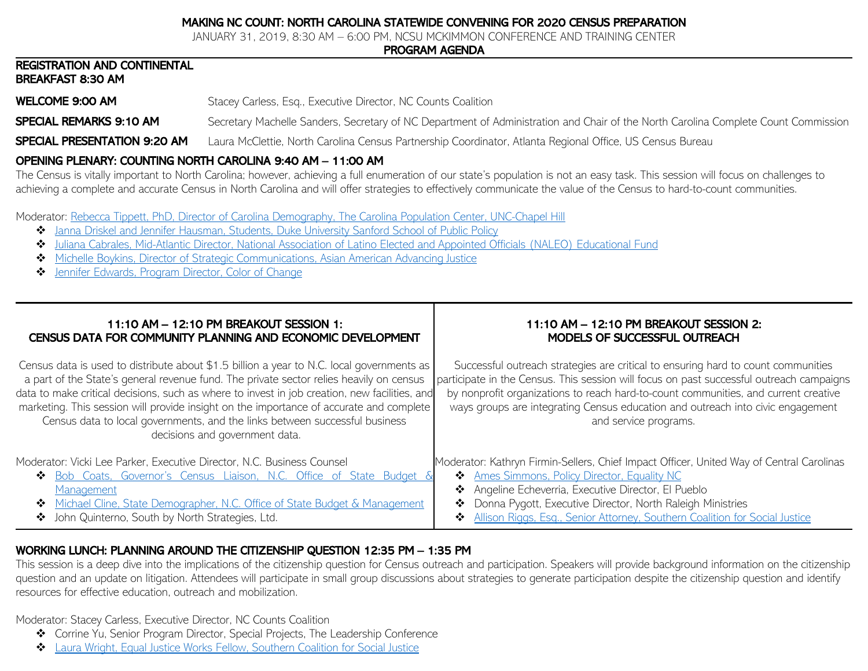## MAKING NC COUNT: NORTH CAROLINA STATEWIDE CONVENING FOR 2020 CENSUS PREPARATION

JANUARY 31, 2019, 8:30 AM – 6:00 PM, NCSU MCKIMMON CONFERENCE AND TRAINING CENTER

#### PROGRAM AGENDA

#### REGISTRATION AND CONTINENTAL BREAKFAST 8:30 AM

**WELCOME 9:00 AM** Stacey Carless, Esq., Executive Director, NC Counts Coalition

**SPECIAL REMARKS 9:10 AM** Secretary Machelle Sanders, Secretary of NC Department of Administration and Chair of the North Carolina Complete Count Commission

SPECIAL PRESENTATION 9:20 AM Laura McClettie, North Carolina Census Partnership Coordinator, Atlanta Regional Office, US Census Bureau

## OPENING PLENARY: COUNTING NORTH CAROLINA 9:40 AM – 11:00 AM

The Census is vitally important to North Carolina; however, achieving a full enumeration of our state's population is not an easy task. This session will focus on challenges to achieving a complete and accurate Census in North Carolina and will offer strategies to effectively communicate the value of the Census to hard-to-count communities.

Moderator: [Rebecca Tippett, PhD, Director of Carolina Demography, The Carolina Population Center, UNC-Chapel Hill](https://nmcdn.io/e186d21f8c7946a19faed23c3da2f0da/e33ebba15b7e45b7a7ca3024d892a391/files/Making-NC-Count-January-31-2019/Opening-Plenary/Rebecca-Tippet-Making-NC-Count.pdf)

- ❖ Janna Driskel and [Jennifer Hausman, Students, Duke University](https://nmcdn.io/e186d21f8c7946a19faed23c3da2f0da/e33ebba15b7e45b7a7ca3024d892a391/files/Making-NC-Count-January-31-2019/Opening-Plenary/Census-2020Mitigating-effects-of-natural-disasters-on-accurate-enumeration.pdf) Sanford School of Public Policy
- ❖ [Juliana Cabrales, Mid-Atlantic Director, National Association of Latino Elected and Appointed Officials \(NALEO\) Educational Fund](https://nmcdn.io/e186d21f8c7946a19faed23c3da2f0da/e33ebba15b7e45b7a7ca3024d892a391/files/Making-NC-Count-January-31-2019/Opening-Plenary/NALEO_Census_MakingNCCount.pdf)
- ❖ [Michelle Boykins, Director of Strategic Communications, Asian American Advancing Justice](https://nmcdn.io/e186d21f8c7946a19faed23c3da2f0da/e33ebba15b7e45b7a7ca3024d892a391/files/Making-NC-Count-January-31-2019/Opening-Plenary/AAJC---NC-Counts-Convening-PPT.pdf)
- ❖ [Jennifer Edwards, Program Director, Color of Change](https://nmcdn.io/e186d21f8c7946a19faed23c3da2f0da/e33ebba15b7e45b7a7ca3024d892a391/files/Making-NC-Count-January-31-2019/Opening-Plenary/ColorofChange_MakingNCCount.pdf)

| 11:10 AM - 12:10 PM BREAKOUT SESSION 1:<br>CENSUS DATA FOR COMMUNITY PLANNING AND ECONOMIC DEVELOPMENT                                                                                                                                                                                                                                                                                                                                                                                            | 11:10 AM - 12:10 PM BREAKOUT SESSION 2:<br>MODELS OF SUCCESSFUL OUTREACH                                                                                                                                                                                                                                                                                                         |
|---------------------------------------------------------------------------------------------------------------------------------------------------------------------------------------------------------------------------------------------------------------------------------------------------------------------------------------------------------------------------------------------------------------------------------------------------------------------------------------------------|----------------------------------------------------------------------------------------------------------------------------------------------------------------------------------------------------------------------------------------------------------------------------------------------------------------------------------------------------------------------------------|
| Census data is used to distribute about \$1.5 billion a year to N.C. local governments as<br>a part of the State's general revenue fund. The private sector relies heavily on census<br>data to make critical decisions, such as where to invest in job creation, new facilities, and<br>marketing. This session will provide insight on the importance of accurate and complete<br>Census data to local governments, and the links between successful business<br>decisions and government data. | Successful outreach strategies are critical to ensuring hard to count communities<br>participate in the Census. This session will focus on past successful outreach campaigns<br>by nonprofit organizations to reach hard-to-count communities, and current creative<br>ways groups are integrating Census education and outreach into civic engagement<br>and service programs. |
| Moderator: Vicki Lee Parker, Executive Director, N.C. Business Counsel<br>Bob Coats, Governor's Census Liaison, N.C. Office of State Budget &<br>∙ৈ<br>Management<br>Michael Cline, State Demographer, N.C. Office of State Budget & Management<br>❖                                                                                                                                                                                                                                              | Moderator: Kathryn Firmin-Sellers, Chief Impact Officer, United Way of Central Carolinas<br><b>Ames Simmons, Policy Director, Equality NC</b><br>❖<br>Angeline Echeverria, Executive Director, El Pueblo<br>❖<br>Donna Pygott, Executive Director, North Raleigh Ministries<br>❖                                                                                                 |
| ❖ John Quinterno, South by North Strategies, Ltd.                                                                                                                                                                                                                                                                                                                                                                                                                                                 | Allison Riggs, Esg., Senior Attorney, Southern Coalition for Social Justice<br>❖                                                                                                                                                                                                                                                                                                 |

# WORKING LUNCH: PLANNING AROUND THE CITIZENSHIP QUESTION 12:35 PM – 1:35 PM

This session is a deep dive into the implications of the citizenship question for Census outreach and participation. Speakers will provide background information on the citizenship question and an update on litigation. Attendees will participate in small group discussions about strategies to generate participation despite the citizenship question and identify resources for effective education, outreach and mobilization.

Moderator: Stacey Carless, Executive Director, NC Counts Coalition

- ❖ Corrine Yu, Senior Program Director, Special Projects, The Leadership Conference
- ❖ Laura Wright, Equal Justice Works [Fellow, Southern Coalition for Social Justice](https://nmcdn.io/e186d21f8c7946a19faed23c3da2f0da/e33ebba15b7e45b7a7ca3024d892a391/files/Making-NC-Count-January-31-2019/Lunch/Census-Litigation-Update-1-31-19.pdf)